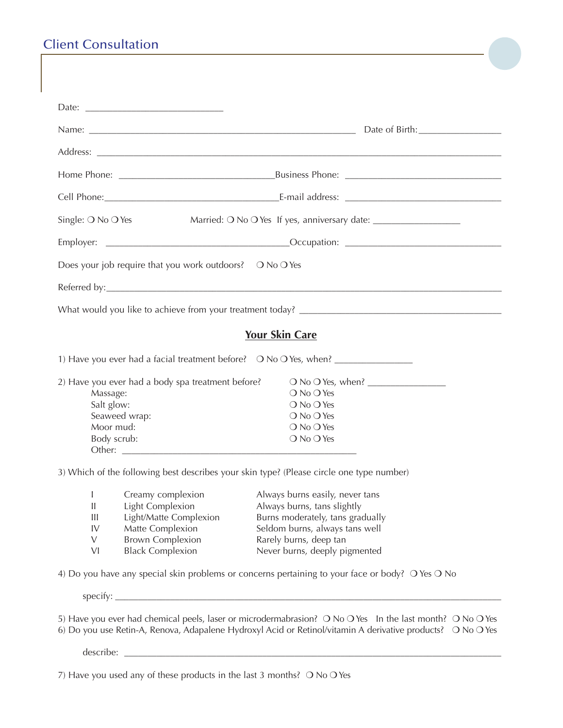## Client Consultation

| Single: $\bigcirc$ No $\bigcirc$ Yes<br>Married: O No O Yes If yes, anniversary date: __________________________________ |                                                          |                                                                                                             |  |  |  |  |
|--------------------------------------------------------------------------------------------------------------------------|----------------------------------------------------------|-------------------------------------------------------------------------------------------------------------|--|--|--|--|
|                                                                                                                          |                                                          |                                                                                                             |  |  |  |  |
|                                                                                                                          | Does your job require that you work outdoors? O No O Yes |                                                                                                             |  |  |  |  |
|                                                                                                                          |                                                          |                                                                                                             |  |  |  |  |
|                                                                                                                          |                                                          |                                                                                                             |  |  |  |  |
|                                                                                                                          |                                                          | <b>Your Skin Care</b>                                                                                       |  |  |  |  |
|                                                                                                                          |                                                          | 1) Have you ever had a facial treatment before? O No O Yes, when? _______________                           |  |  |  |  |
|                                                                                                                          |                                                          |                                                                                                             |  |  |  |  |
|                                                                                                                          | 2) Have you ever had a body spa treatment before?        |                                                                                                             |  |  |  |  |
| Massage:                                                                                                                 |                                                          | $\bigcirc$ No $\bigcirc$ Yes                                                                                |  |  |  |  |
| Salt glow:                                                                                                               |                                                          | $\bigcirc$ No $\bigcirc$ Yes                                                                                |  |  |  |  |
|                                                                                                                          | Seaweed wrap:<br>Moor mud:                               | $\bigcirc$ No $\bigcirc$ Yes                                                                                |  |  |  |  |
|                                                                                                                          |                                                          | $\bigcirc$ No $\bigcirc$ Yes                                                                                |  |  |  |  |
|                                                                                                                          | Body scrub:                                              | O No O Yes                                                                                                  |  |  |  |  |
|                                                                                                                          |                                                          | 3) Which of the following best describes your skin type? (Please circle one type number)                    |  |  |  |  |
| $\mathbf{I}$                                                                                                             | Creamy complexion                                        | Always burns easily, never tans                                                                             |  |  |  |  |
| $\ensuremath{\mathsf{II}}$                                                                                               | Light Complexion                                         | Always burns, tans slightly                                                                                 |  |  |  |  |
| $\begin{array}{c} \hline \end{array}$                                                                                    | Light/Matte Complexion                                   | Burns moderately, tans gradually                                                                            |  |  |  |  |
| IV                                                                                                                       | Matte Complexion                                         | Seldom burns, always tans well                                                                              |  |  |  |  |
| V                                                                                                                        | <b>Brown Complexion</b>                                  | Rarely burns, deep tan                                                                                      |  |  |  |  |
| VI                                                                                                                       | <b>Black Complexion</b>                                  | Never burns, deeply pigmented                                                                               |  |  |  |  |
|                                                                                                                          |                                                          | 4) Do you have any special skin problems or concerns pertaining to your face or body? O Yes O No            |  |  |  |  |
|                                                                                                                          | specify:                                                 |                                                                                                             |  |  |  |  |
|                                                                                                                          |                                                          | 5) Have you ever had chemical peels, laser or microdermabrasion? O No O Yes In the last month? O No O Yes   |  |  |  |  |
|                                                                                                                          |                                                          | 6) Do you use Retin-A, Renova, Adapalene Hydroxyl Acid or Retinol/vitamin A derivative products? O No O Yes |  |  |  |  |

describe: \_\_\_\_\_\_\_\_\_\_\_\_\_\_\_\_\_\_\_\_\_\_\_\_\_\_\_\_\_\_\_\_\_\_\_\_\_\_\_\_\_\_\_\_\_\_\_\_\_\_\_\_\_\_\_\_\_\_\_\_\_\_\_\_\_\_\_\_\_\_\_\_\_\_\_\_\_\_\_\_\_\_

7) Have you used any of these products in the last 3 months?  $\bigcirc$  No  $\bigcirc$  Yes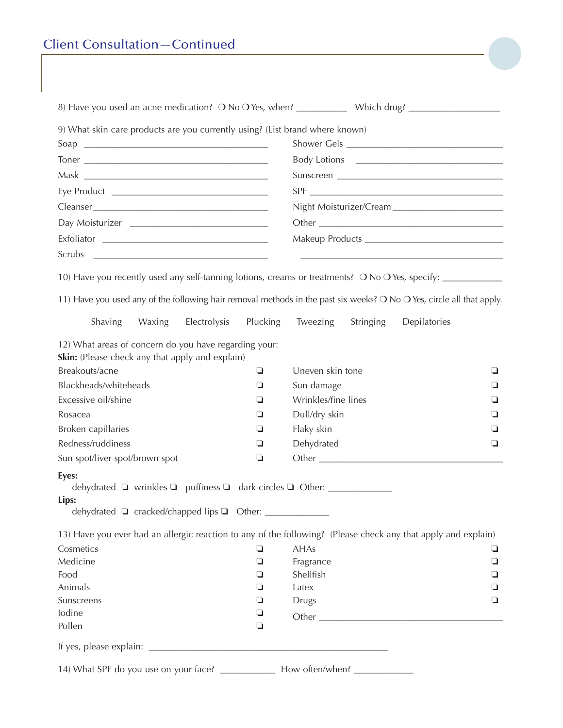| <b>Client Consultation-Continued</b> |  |
|--------------------------------------|--|
|                                      |  |
|                                      |  |
|                                      |  |

| 9) What skin care products are you currently using? (List brand where known)                                                                                                                                                        |        |              |              |                     |           |              |   |
|-------------------------------------------------------------------------------------------------------------------------------------------------------------------------------------------------------------------------------------|--------|--------------|--------------|---------------------|-----------|--------------|---|
|                                                                                                                                                                                                                                     |        |              |              |                     |           |              |   |
|                                                                                                                                                                                                                                     |        |              |              |                     |           |              |   |
|                                                                                                                                                                                                                                     |        |              |              |                     |           |              |   |
|                                                                                                                                                                                                                                     |        |              |              |                     |           |              |   |
|                                                                                                                                                                                                                                     |        |              |              |                     |           |              |   |
|                                                                                                                                                                                                                                     |        |              |              |                     |           |              |   |
|                                                                                                                                                                                                                                     |        |              |              |                     |           |              |   |
|                                                                                                                                                                                                                                     |        |              |              |                     |           |              |   |
| 10) Have you recently used any self-tanning lotions, creams or treatments? O No O Yes, specify: __________<br>11) Have you used any of the following hair removal methods in the past six weeks? O No O Yes, circle all that apply. |        |              |              |                     |           |              |   |
| Shaving                                                                                                                                                                                                                             | Waxing | Electrolysis | Plucking     | Tweezing            | Stringing | Depilatories |   |
| 12) What areas of concern do you have regarding your:<br>Skin: (Please check any that apply and explain)                                                                                                                            |        |              |              |                     |           |              |   |
| Breakouts/acne                                                                                                                                                                                                                      |        |              | ❏            | Uneven skin tone    |           |              | ⊔ |
| Blackheads/whiteheads                                                                                                                                                                                                               |        |              | ❏            | Sun damage          |           |              | □ |
| Excessive oil/shine                                                                                                                                                                                                                 |        |              | ❏            | Wrinkles/fine lines |           |              | ⊔ |
| Rosacea                                                                                                                                                                                                                             |        |              | ❏            | Dull/dry skin       |           |              | ⊔ |
| Broken capillaries                                                                                                                                                                                                                  |        |              | ❏            | Flaky skin          |           |              | □ |
| Redness/ruddiness                                                                                                                                                                                                                   |        |              | ❏            | Dehydrated          |           |              | ❏ |
| Sun spot/liver spot/brown spot                                                                                                                                                                                                      |        |              | ❏            |                     |           |              |   |
| Eyes:<br>Lips:<br>dehydrated □ cracked/chapped lips □ Other: ___________________                                                                                                                                                    |        |              |              |                     |           |              |   |
| 13) Have you ever had an allergic reaction to any of the following? (Please check any that apply and explain)                                                                                                                       |        |              |              |                     |           |              |   |
| Cosmetics                                                                                                                                                                                                                           |        |              | ❏            | <b>AHAs</b>         |           |              | u |
| Medicine                                                                                                                                                                                                                            |        |              | $\Box$       | Fragrance           |           | ❏            |   |
| Food                                                                                                                                                                                                                                |        |              | ❏            | Shellfish           |           | ⊔            |   |
| Animals                                                                                                                                                                                                                             |        | ❏            | Latex        |                     | ❏         |              |   |
| Sunscreens                                                                                                                                                                                                                          |        | ❏            | <b>Drugs</b> |                     |           | ❏            |   |
| lodine<br>Pollen                                                                                                                                                                                                                    |        |              | ❏<br>❏       |                     |           | Other        |   |
|                                                                                                                                                                                                                                     |        |              |              |                     |           |              |   |
|                                                                                                                                                                                                                                     |        |              |              |                     |           |              |   |